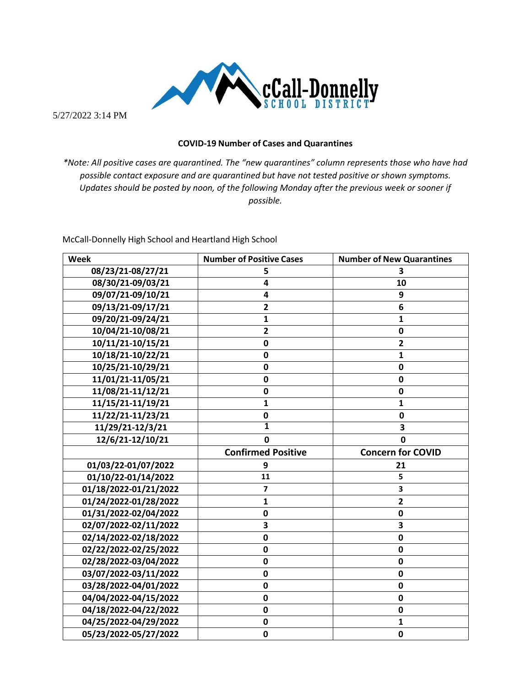

5/27/2022 3:14 PM

## **COVID-19 Number of Cases and Quarantines**

*\*Note: All positive cases are quarantined. The "new quarantines" column represents those who have had possible contact exposure and are quarantined but have not tested positive or shown symptoms. Updates should be posted by noon, of the following Monday after the previous week or sooner if possible.*

McCall-Donnelly High School and Heartland High School

| <b>Week</b>           | <b>Number of Positive Cases</b> | <b>Number of New Quarantines</b> |
|-----------------------|---------------------------------|----------------------------------|
| 08/23/21-08/27/21     | 5                               | 3                                |
| 08/30/21-09/03/21     | 4                               | 10                               |
| 09/07/21-09/10/21     | 4                               | 9                                |
| 09/13/21-09/17/21     | $\overline{2}$                  | 6                                |
| 09/20/21-09/24/21     | $\mathbf{1}$                    | 1                                |
| 10/04/21-10/08/21     | $\overline{\mathbf{2}}$         | $\mathbf 0$                      |
| 10/11/21-10/15/21     | $\mathbf 0$                     | $\overline{\mathbf{2}}$          |
| 10/18/21-10/22/21     | $\mathbf 0$                     | $\mathbf{1}$                     |
| 10/25/21-10/29/21     | 0                               | $\mathbf 0$                      |
| 11/01/21-11/05/21     | 0                               | $\mathbf 0$                      |
| 11/08/21-11/12/21     | $\mathbf 0$                     | $\mathbf 0$                      |
| 11/15/21-11/19/21     | $\mathbf{1}$                    | 1                                |
| 11/22/21-11/23/21     | 0                               | 0                                |
| $11/29/21-12/3/21$    | 1                               | 3                                |
| 12/6/21-12/10/21      | 0                               | 0                                |
|                       |                                 |                                  |
|                       | <b>Confirmed Positive</b>       | <b>Concern for COVID</b>         |
| 01/03/22-01/07/2022   | 9                               | 21                               |
| 01/10/22-01/14/2022   | 11                              | 5                                |
| 01/18/2022-01/21/2022 | $\overline{7}$                  | 3                                |
| 01/24/2022-01/28/2022 | 1                               | $\overline{\mathbf{2}}$          |
| 01/31/2022-02/04/2022 | 0                               | 0                                |
| 02/07/2022-02/11/2022 | 3                               | $\overline{\mathbf{3}}$          |
| 02/14/2022-02/18/2022 | $\mathbf 0$                     | $\mathbf 0$                      |
| 02/22/2022-02/25/2022 | 0                               | 0                                |
| 02/28/2022-03/04/2022 | $\mathbf 0$                     | $\mathbf 0$                      |
| 03/07/2022-03/11/2022 | $\mathbf 0$                     | $\mathbf 0$                      |
| 03/28/2022-04/01/2022 | 0                               | 0                                |
| 04/04/2022-04/15/2022 | 0                               | $\mathbf 0$                      |
| 04/18/2022-04/22/2022 | $\mathbf 0$                     | $\mathbf 0$                      |
| 04/25/2022-04/29/2022 | 0                               | 1                                |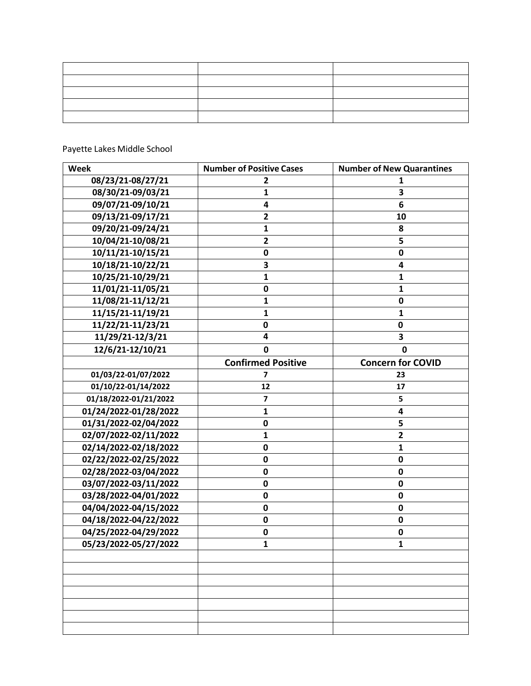## Payette Lakes Middle School

| Week                  | <b>Number of Positive Cases</b> | <b>Number of New Quarantines</b> |
|-----------------------|---------------------------------|----------------------------------|
| 08/23/21-08/27/21     | $\overline{2}$                  | 1                                |
| 08/30/21-09/03/21     | $\mathbf{1}$                    | 3                                |
| 09/07/21-09/10/21     | 4                               | 6                                |
| 09/13/21-09/17/21     | $\mathbf{2}$                    | 10                               |
| 09/20/21-09/24/21     | $\mathbf{1}$                    | 8                                |
| 10/04/21-10/08/21     | $\overline{2}$                  | 5                                |
| 10/11/21-10/15/21     | 0                               | $\mathbf 0$                      |
| 10/18/21-10/22/21     | 3                               | 4                                |
| 10/25/21-10/29/21     | $\mathbf{1}$                    | $\mathbf{1}$                     |
| 11/01/21-11/05/21     | $\mathbf 0$                     | $\mathbf{1}$                     |
| 11/08/21-11/12/21     | $\mathbf{1}$                    | $\pmb{0}$                        |
| 11/15/21-11/19/21     | 1                               | $\mathbf{1}$                     |
| 11/22/21-11/23/21     | 0                               | 0                                |
| 11/29/21-12/3/21      | 4                               | 3                                |
| 12/6/21-12/10/21      | 0                               | 0                                |
|                       | <b>Confirmed Positive</b>       | <b>Concern for COVID</b>         |
| 01/03/22-01/07/2022   | 7                               | 23                               |
| 01/10/22-01/14/2022   | 12                              | 17                               |
| 01/18/2022-01/21/2022 | $\overline{\mathbf{z}}$         | 5                                |
| 01/24/2022-01/28/2022 | $\mathbf{1}$                    | 4                                |
| 01/31/2022-02/04/2022 | 0                               | 5                                |
| 02/07/2022-02/11/2022 | $\mathbf{1}$                    | $\mathbf{2}$                     |
| 02/14/2022-02/18/2022 | 0                               | $\mathbf{1}$                     |
| 02/22/2022-02/25/2022 | 0                               | $\pmb{0}$                        |
| 02/28/2022-03/04/2022 | 0                               | $\mathbf 0$                      |
| 03/07/2022-03/11/2022 | $\mathbf 0$                     | $\pmb{0}$                        |
| 03/28/2022-04/01/2022 | 0                               | $\pmb{0}$                        |
| 04/04/2022-04/15/2022 | 0                               | $\mathbf 0$                      |
| 04/18/2022-04/22/2022 | $\mathbf 0$                     | $\mathbf 0$                      |
| 04/25/2022-04/29/2022 | 0                               | $\pmb{0}$                        |
| 05/23/2022-05/27/2022 | $\mathbf{1}$                    | 1                                |
|                       |                                 |                                  |
|                       |                                 |                                  |
|                       |                                 |                                  |
|                       |                                 |                                  |
|                       |                                 |                                  |
|                       |                                 |                                  |
|                       |                                 |                                  |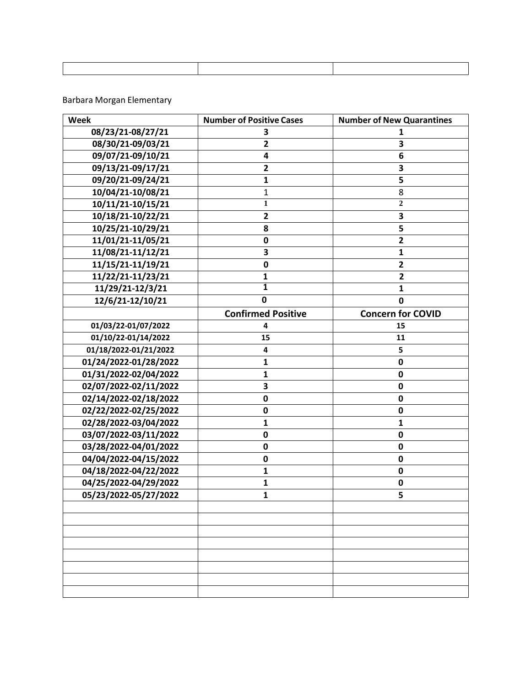## Barbara Morgan Elementary

| Week                  | <b>Number of Positive Cases</b> | <b>Number of New Quarantines</b> |
|-----------------------|---------------------------------|----------------------------------|
| 08/23/21-08/27/21     | 3                               | 1                                |
| 08/30/21-09/03/21     | $\overline{\mathbf{2}}$         | 3                                |
| 09/07/21-09/10/21     | 4                               | 6                                |
| 09/13/21-09/17/21     | $\overline{2}$                  | 3                                |
| 09/20/21-09/24/21     | $\mathbf{1}$                    | 5                                |
| 10/04/21-10/08/21     | $\mathbf{1}$                    | 8                                |
| 10/11/21-10/15/21     | 1                               | $\mathbf{2}$                     |
| 10/18/21-10/22/21     | $\overline{\mathbf{2}}$         | $\overline{\mathbf{3}}$          |
| 10/25/21-10/29/21     | 8                               | 5                                |
| 11/01/21-11/05/21     | 0                               | $\overline{2}$                   |
| 11/08/21-11/12/21     | 3                               | 1                                |
| 11/15/21-11/19/21     | 0                               | $\mathbf{2}$                     |
| 11/22/21-11/23/21     | 1                               | $\overline{2}$                   |
| 11/29/21-12/3/21      | 1                               | 1                                |
| 12/6/21-12/10/21      | 0                               | $\mathbf 0$                      |
|                       | <b>Confirmed Positive</b>       | <b>Concern for COVID</b>         |
| 01/03/22-01/07/2022   | 4                               | 15                               |
| 01/10/22-01/14/2022   | 15                              | 11                               |
| 01/18/2022-01/21/2022 | 4                               | 5                                |
| 01/24/2022-01/28/2022 | 1                               | $\bf{0}$                         |
| 01/31/2022-02/04/2022 | 1                               | $\pmb{0}$                        |
| 02/07/2022-02/11/2022 | 3                               | $\mathbf 0$                      |
| 02/14/2022-02/18/2022 | $\mathbf 0$                     | $\mathbf 0$                      |
| 02/22/2022-02/25/2022 | 0                               | 0                                |
| 02/28/2022-03/04/2022 | 1                               | $\mathbf{1}$                     |
| 03/07/2022-03/11/2022 | $\pmb{0}$                       | $\pmb{0}$                        |
| 03/28/2022-04/01/2022 | 0                               | $\pmb{0}$                        |
| 04/04/2022-04/15/2022 | 0                               | $\mathbf 0$                      |
| 04/18/2022-04/22/2022 | 1                               | $\pmb{0}$                        |
| 04/25/2022-04/29/2022 | 1                               | 0                                |
| 05/23/2022-05/27/2022 | 1                               | 5                                |
|                       |                                 |                                  |
|                       |                                 |                                  |
|                       |                                 |                                  |
|                       |                                 |                                  |
|                       |                                 |                                  |
|                       |                                 |                                  |
|                       |                                 |                                  |
|                       |                                 |                                  |